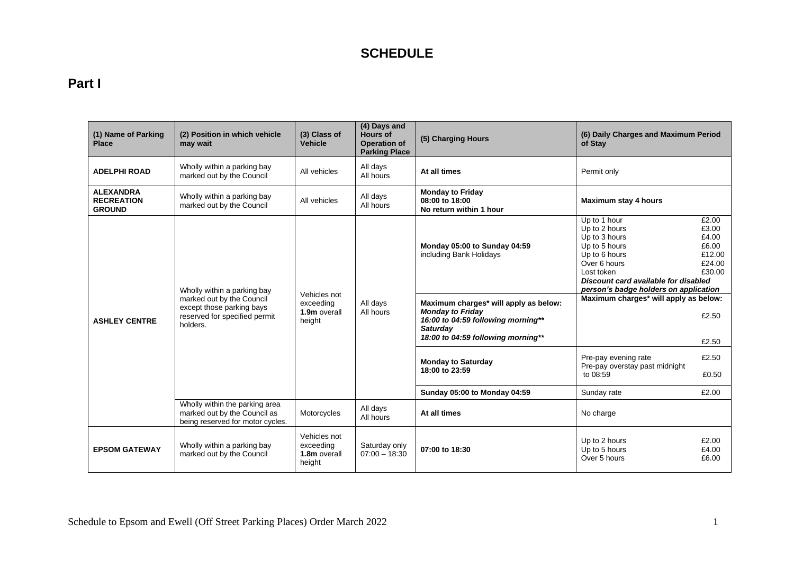# **Part I**

| (1) Name of Parking<br><b>Place</b>                    | (2) Position in which vehicle<br>may wait                                                           | (3) Class of<br><b>Vehicle</b>                      | (4) Days and<br><b>Hours of</b><br><b>Operation of</b><br><b>Parking Place</b> | (5) Charging Hours                                                                                                                                              | (6) Daily Charges and Maximum Period<br>of Stay                                                                                                                                                 |                                                                |
|--------------------------------------------------------|-----------------------------------------------------------------------------------------------------|-----------------------------------------------------|--------------------------------------------------------------------------------|-----------------------------------------------------------------------------------------------------------------------------------------------------------------|-------------------------------------------------------------------------------------------------------------------------------------------------------------------------------------------------|----------------------------------------------------------------|
| <b>ADELPHI ROAD</b>                                    | Wholly within a parking bay<br>marked out by the Council                                            | All vehicles                                        | All days<br>All hours                                                          | At all times                                                                                                                                                    | Permit only                                                                                                                                                                                     |                                                                |
| <b>ALEXANDRA</b><br><b>RECREATION</b><br><b>GROUND</b> | Wholly within a parking bay<br>marked out by the Council                                            | All vehicles                                        | All days<br>All hours                                                          | <b>Monday to Friday</b><br>08:00 to 18:00<br>No return within 1 hour                                                                                            | Maximum stay 4 hours                                                                                                                                                                            |                                                                |
|                                                        | Wholly within a parking bay                                                                         |                                                     |                                                                                | Monday 05:00 to Sunday 04:59<br>including Bank Holidays                                                                                                         | Up to 1 hour<br>Up to 2 hours<br>Up to 3 hours<br>Up to 5 hours<br>Up to 6 hours<br>Over 6 hours<br>Lost token<br>Discount card available for disabled<br>person's badge holders on application | £2.00<br>£3.00<br>£4.00<br>£6.00<br>£12.00<br>£24.00<br>£30.00 |
| <b>ASHLEY CENTRE</b>                                   | marked out by the Council<br>except those parking bays<br>reserved for specified permit<br>holders. | Vehicles not<br>exceeding<br>1.9m overall<br>height | All days<br>All hours                                                          | Maximum charges* will apply as below:<br><b>Monday to Friday</b><br>16:00 to 04:59 following morning**<br><b>Saturday</b><br>18:00 to 04:59 following morning** | Maximum charges* will apply as below:                                                                                                                                                           | £2.50<br>£2.50                                                 |
|                                                        |                                                                                                     |                                                     |                                                                                | <b>Monday to Saturday</b><br>18:00 to 23:59                                                                                                                     | Pre-pay evening rate<br>Pre-pay overstay past midnight<br>to 08:59                                                                                                                              | £2.50<br>£0.50                                                 |
|                                                        |                                                                                                     |                                                     |                                                                                | Sunday 05:00 to Monday 04:59                                                                                                                                    | Sunday rate                                                                                                                                                                                     | £2.00                                                          |
|                                                        | Wholly within the parking area<br>marked out by the Council as<br>being reserved for motor cycles.  | Motorcycles                                         | All days<br>All hours                                                          | At all times                                                                                                                                                    | No charge                                                                                                                                                                                       |                                                                |
| <b>EPSOM GATEWAY</b>                                   | Wholly within a parking bay<br>marked out by the Council                                            | Vehicles not<br>exceeding<br>1.8m overall<br>height | Saturday only<br>$07:00 - 18:30$                                               | 07:00 to 18:30                                                                                                                                                  | Up to 2 hours<br>Up to 5 hours<br>Over 5 hours                                                                                                                                                  | £2.00<br>£4.00<br>£6.00                                        |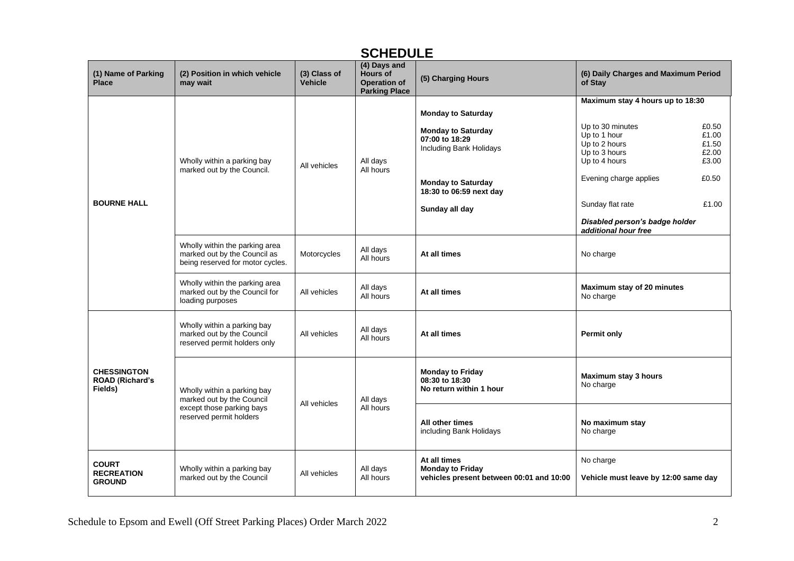| ◡╷ ╷ ∟ ◡ ◡ ∟ ∟                                          |                                                                                                                                            |                         |                                                                                |                                                                                     |                                                                                                                                  |  |
|---------------------------------------------------------|--------------------------------------------------------------------------------------------------------------------------------------------|-------------------------|--------------------------------------------------------------------------------|-------------------------------------------------------------------------------------|----------------------------------------------------------------------------------------------------------------------------------|--|
| (1) Name of Parking<br><b>Place</b>                     | (2) Position in which vehicle<br>may wait                                                                                                  | (3) Class of<br>Vehicle | (4) Days and<br><b>Hours of</b><br><b>Operation of</b><br><b>Parking Place</b> | (5) Charging Hours                                                                  | (6) Daily Charges and Maximum Period<br>of Stay                                                                                  |  |
|                                                         |                                                                                                                                            |                         |                                                                                |                                                                                     | Maximum stay 4 hours up to 18:30                                                                                                 |  |
|                                                         |                                                                                                                                            |                         |                                                                                | <b>Monday to Saturday</b>                                                           |                                                                                                                                  |  |
|                                                         | Wholly within a parking bay                                                                                                                | All vehicles            | All days<br>All hours                                                          | <b>Monday to Saturday</b><br>07:00 to 18:29<br>Including Bank Holidays              | Up to 30 minutes<br>£0.50<br>Up to 1 hour<br>£1.00<br>Up to 2 hours<br>£1.50<br>Up to 3 hours<br>£2.00<br>Up to 4 hours<br>£3.00 |  |
|                                                         | marked out by the Council.                                                                                                                 |                         |                                                                                | <b>Monday to Saturday</b><br>18:30 to 06:59 next day                                | Evening charge applies<br>£0.50                                                                                                  |  |
| <b>BOURNE HALL</b>                                      |                                                                                                                                            |                         |                                                                                | Sunday all day                                                                      | Sunday flat rate<br>£1.00                                                                                                        |  |
|                                                         |                                                                                                                                            |                         |                                                                                |                                                                                     | Disabled person's badge holder<br>additional hour free                                                                           |  |
|                                                         | Wholly within the parking area<br>All days<br>marked out by the Council as<br>Motorcycles<br>All hours<br>being reserved for motor cycles. |                         | At all times                                                                   | No charge                                                                           |                                                                                                                                  |  |
|                                                         | Wholly within the parking area<br>marked out by the Council for<br>loading purposes                                                        | All vehicles            | All days<br>All hours                                                          | At all times                                                                        | Maximum stay of 20 minutes<br>No charge                                                                                          |  |
|                                                         | Wholly within a parking bay<br>marked out by the Council<br>reserved permit holders only                                                   | All vehicles            | All days<br>All hours                                                          | At all times                                                                        | <b>Permit only</b>                                                                                                               |  |
| <b>CHESSINGTON</b><br><b>ROAD (Richard's</b><br>Fields) | Wholly within a parking bay<br>marked out by the Council                                                                                   | All vehicles            | All days                                                                       | <b>Monday to Friday</b><br>08:30 to 18:30<br>No return within 1 hour                | Maximum stay 3 hours<br>No charge                                                                                                |  |
|                                                         | except those parking bays<br>reserved permit holders                                                                                       |                         | All hours                                                                      | All other times<br>including Bank Holidays                                          | No maximum stay<br>No charge                                                                                                     |  |
| <b>COURT</b><br><b>RECREATION</b><br><b>GROUND</b>      | Wholly within a parking bay<br>marked out by the Council                                                                                   | All vehicles            | All days<br>All hours                                                          | At all times<br><b>Monday to Friday</b><br>vehicles present between 00:01 and 10:00 | No charge<br>Vehicle must leave by 12:00 same day                                                                                |  |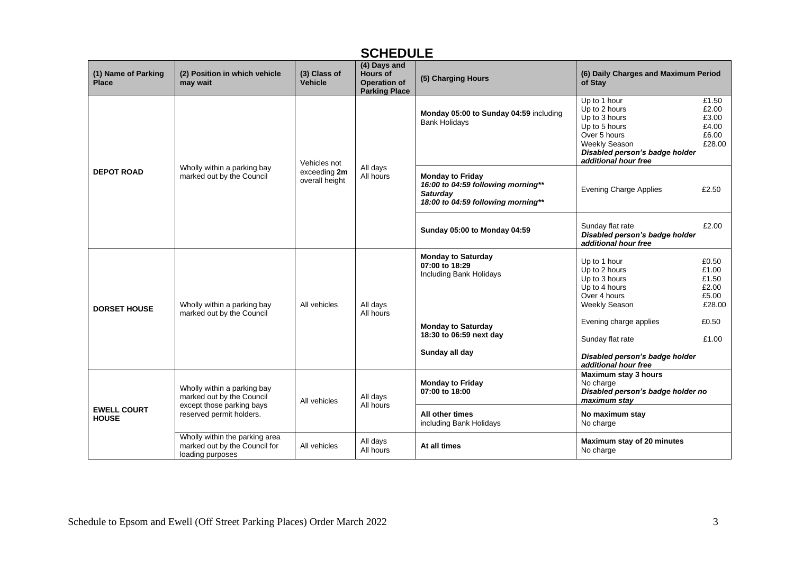|                                     | UVI ILDULL                                                                                                        |                                                |                                                                                |                                                                                                                        |                                                                                                                                                            |                                                     |  |
|-------------------------------------|-------------------------------------------------------------------------------------------------------------------|------------------------------------------------|--------------------------------------------------------------------------------|------------------------------------------------------------------------------------------------------------------------|------------------------------------------------------------------------------------------------------------------------------------------------------------|-----------------------------------------------------|--|
| (1) Name of Parking<br><b>Place</b> | (2) Position in which vehicle<br>may wait                                                                         | (3) Class of<br><b>Vehicle</b>                 | (4) Days and<br><b>Hours of</b><br><b>Operation of</b><br><b>Parking Place</b> | (5) Charging Hours                                                                                                     | (6) Daily Charges and Maximum Period<br>of Stay                                                                                                            |                                                     |  |
| <b>DEPOT ROAD</b>                   | Wholly within a parking bay<br>marked out by the Council                                                          | Vehicles not<br>exceeding 2m<br>overall height | All days<br>All hours                                                          | Monday 05:00 to Sunday 04:59 including<br><b>Bank Holidays</b>                                                         | Up to 1 hour<br>Up to 2 hours<br>Up to 3 hours<br>Up to 5 hours<br>Over 5 hours<br>Weekly Season<br>Disabled person's badge holder<br>additional hour free | £1.50<br>£2.00<br>£3.00<br>£4.00<br>£6.00<br>£28.00 |  |
|                                     |                                                                                                                   |                                                |                                                                                | <b>Monday to Friday</b><br>16:00 to 04:59 following morning**<br><b>Saturdav</b><br>18:00 to 04:59 following morning** | <b>Evening Charge Applies</b>                                                                                                                              | £2.50                                               |  |
|                                     |                                                                                                                   |                                                |                                                                                | <b>Sunday 05:00 to Monday 04:59</b>                                                                                    | Sunday flat rate<br>Disabled person's badge holder<br>additional hour free                                                                                 | £2.00                                               |  |
| <b>DORSET HOUSE</b>                 | Wholly within a parking bay                                                                                       | All vehicles                                   | All days<br>All hours                                                          | <b>Monday to Saturday</b><br>07:00 to 18:29<br>Including Bank Holidays                                                 | Up to 1 hour<br>Up to 2 hours<br>Up to 3 hours<br>Up to 4 hours<br>Over 4 hours<br><b>Weekly Season</b>                                                    | £0.50<br>£1.00<br>£1.50<br>£2.00<br>£5.00<br>£28.00 |  |
|                                     | marked out by the Council                                                                                         |                                                |                                                                                | <b>Monday to Saturday</b><br>18:30 to 06:59 next day<br>Sunday all day                                                 | Evening charge applies<br>Sunday flat rate<br>Disabled person's badge holder<br>additional hour free                                                       | £0.50<br>£1.00                                      |  |
| <b>EWELL COURT</b><br><b>HOUSE</b>  | Wholly within a parking bay<br>marked out by the Council<br>except those parking bays<br>reserved permit holders. | All vehicles                                   | All days<br>All hours                                                          | <b>Monday to Friday</b><br>07:00 to 18:00                                                                              | Maximum stay 3 hours<br>No charge<br>Disabled person's badge holder no<br>maximum stay                                                                     |                                                     |  |
|                                     |                                                                                                                   |                                                |                                                                                | All other times<br>including Bank Holidays                                                                             | No maximum stay<br>No charge                                                                                                                               |                                                     |  |
|                                     | Wholly within the parking area<br>marked out by the Council for<br>loading purposes                               | All vehicles                                   | All days<br>All hours                                                          | At all times                                                                                                           | Maximum stay of 20 minutes<br>No charge                                                                                                                    |                                                     |  |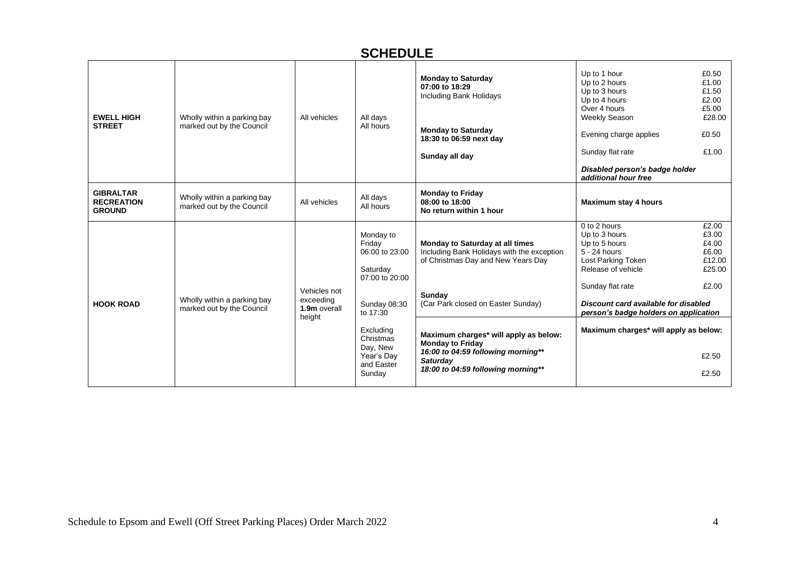| <b>EWELL HIGH</b><br><b>STREET</b>                     | Wholly within a parking bay<br>marked out by the Council | All vehicles                                        | All days<br>All hours                                                                                                                                                       | <b>Monday to Saturday</b><br>07:00 to 18:29<br><b>Including Bank Holidays</b><br><b>Monday to Saturday</b><br>18:30 to 06:59 next day<br>Sunday all day                                                                                                                                                                                | Up to 1 hour<br>Up to 2 hours<br>Up to 3 hours<br>Up to 4 hours<br>Over 4 hours<br>Weekly Season<br>Evening charge applies<br>Sunday flat rate<br>Disabled person's badge holder<br>additional hour free                                                 | £0.50<br>£1.00<br>£1.50<br>£2.00<br>£5.00<br>£28.00<br>£0.50<br>£1.00           |
|--------------------------------------------------------|----------------------------------------------------------|-----------------------------------------------------|-----------------------------------------------------------------------------------------------------------------------------------------------------------------------------|----------------------------------------------------------------------------------------------------------------------------------------------------------------------------------------------------------------------------------------------------------------------------------------------------------------------------------------|----------------------------------------------------------------------------------------------------------------------------------------------------------------------------------------------------------------------------------------------------------|---------------------------------------------------------------------------------|
| <b>GIBRALTAR</b><br><b>RECREATION</b><br><b>GROUND</b> | Wholly within a parking bay<br>marked out by the Council | All vehicles                                        | All days<br>All hours                                                                                                                                                       | <b>Monday to Friday</b><br>08:00 to 18:00<br>No return within 1 hour                                                                                                                                                                                                                                                                   | Maximum stay 4 hours                                                                                                                                                                                                                                     |                                                                                 |
| <b>HOOK ROAD</b>                                       | Wholly within a parking bay<br>marked out by the Council | Vehicles not<br>exceeding<br>1.9m overall<br>height | Monday to<br>Friday<br>06:00 to 23:00<br>Saturday<br>07:00 to 20:00<br>Sunday 08:30<br>to 17:30<br>Excluding<br>Christmas<br>Day, New<br>Year's Day<br>and Easter<br>Sunday | Monday to Saturday at all times<br>Including Bank Holidays with the exception<br>of Christmas Day and New Years Day<br>Sunday<br>(Car Park closed on Easter Sunday)<br>Maximum charges* will apply as below:<br><b>Monday to Friday</b><br>16:00 to 04:59 following morning**<br><b>Saturday</b><br>18:00 to 04:59 following morning** | 0 to 2 hours<br>Up to 3 hours<br>Up to 5 hours<br>5 - 24 hours<br>Lost Parking Token<br>Release of vehicle<br>Sunday flat rate<br>Discount card available for disabled<br>person's badge holders on application<br>Maximum charges* will apply as below: | £2.00<br>£3.00<br>£4.00<br>£6.00<br>£12.00<br>£25.00<br>£2.00<br>£2.50<br>£2.50 |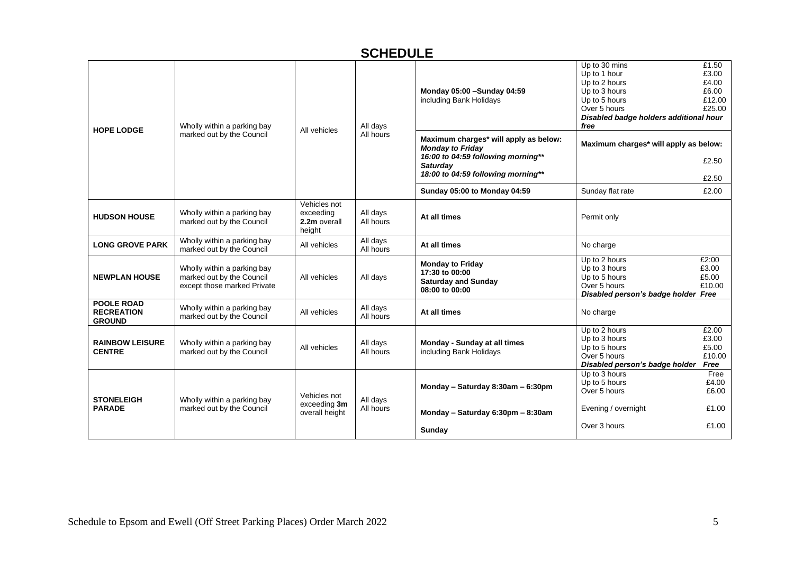| <b>HOPE LODGE</b>                                       | Wholly within a parking bay<br>marked out by the Council                                | All vehicles                                        | All days<br>All hours | Monday 05:00 - Sunday 04:59<br>including Bank Holidays                                                                                                          | Up to 30 mins<br>Up to 1 hour<br>Up to 2 hours<br>Up to 3 hours<br>Up to 5 hours<br>Over 5 hours<br>Disabled badge holders additional hour<br>free | £1.50<br>£3.00<br>£4.00<br>£6.00<br>£12.00<br>£25.00 |
|---------------------------------------------------------|-----------------------------------------------------------------------------------------|-----------------------------------------------------|-----------------------|-----------------------------------------------------------------------------------------------------------------------------------------------------------------|----------------------------------------------------------------------------------------------------------------------------------------------------|------------------------------------------------------|
|                                                         |                                                                                         |                                                     |                       | Maximum charges* will apply as below:<br><b>Monday to Friday</b><br>16:00 to 04:59 following morning**<br><b>Saturday</b><br>18:00 to 04:59 following morning** | Maximum charges* will apply as below:                                                                                                              | £2.50<br>£2.50                                       |
|                                                         |                                                                                         |                                                     |                       | Sunday 05:00 to Monday 04:59                                                                                                                                    | Sunday flat rate                                                                                                                                   | £2.00                                                |
| <b>HUDSON HOUSE</b>                                     | Wholly within a parking bay<br>marked out by the Council                                | Vehicles not<br>exceeding<br>2.2m overall<br>height | All days<br>All hours | At all times                                                                                                                                                    | Permit only                                                                                                                                        |                                                      |
| <b>LONG GROVE PARK</b>                                  | Wholly within a parking bay<br>marked out by the Council                                | All vehicles                                        | All days<br>All hours | At all times                                                                                                                                                    | No charge                                                                                                                                          |                                                      |
| <b>NEWPLAN HOUSE</b>                                    | Wholly within a parking bay<br>marked out by the Council<br>except those marked Private | All vehicles                                        | All days              | <b>Monday to Friday</b><br>17:30 to 00:00<br><b>Saturday and Sunday</b><br>08:00 to 00:00                                                                       | Up to 2 hours<br>Up to 3 hours<br>Up to 5 hours<br>Over 5 hours<br>Disabled person's badge holder Free                                             | £2:00<br>£3.00<br>£5.00<br>£10.00                    |
| <b>POOLE ROAD</b><br><b>RECREATION</b><br><b>GROUND</b> | Wholly within a parking bay<br>marked out by the Council                                | All vehicles                                        | All days<br>All hours | At all times                                                                                                                                                    | No charge                                                                                                                                          |                                                      |
| <b>RAINBOW LEISURE</b><br><b>CENTRE</b>                 | Wholly within a parking bay<br>marked out by the Council                                | All vehicles                                        | All days<br>All hours | Monday - Sunday at all times<br>including Bank Holidays                                                                                                         | Up to 2 hours<br>Up to 3 hours<br>Up to 5 hours<br>Over 5 hours<br>Disabled person's badge holder                                                  | £2.00<br>£3.00<br>£5.00<br>£10.00<br>Free            |
| <b>STONELEIGH</b>                                       | Wholly within a parking bay                                                             | Vehicles not                                        | All days              | Monday - Saturday 8:30am - 6:30pm                                                                                                                               | Up to 3 hours<br>Up to 5 hours<br>Over 5 hours                                                                                                     | Free<br>£4.00<br>£6.00                               |
| <b>PARADE</b>                                           | marked out by the Council                                                               | exceeding 3m<br>overall height                      | All hours             | Monday - Saturday 6:30pm - 8:30am                                                                                                                               | Evening / overnight                                                                                                                                | £1.00                                                |
|                                                         |                                                                                         |                                                     |                       | Sunday                                                                                                                                                          | Over 3 hours                                                                                                                                       | £1.00                                                |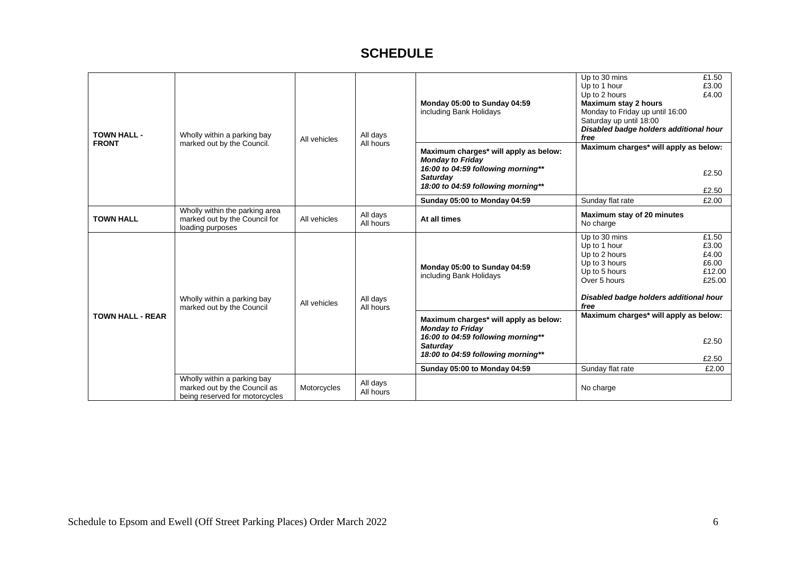| <b>TOWN HALL -</b>      | Wholly within a parking bay                                                                   | All vehicles                                                                                                                                                    | All days<br>All hours                 | Monday 05:00 to Sunday 04:59<br>including Bank Holidays                                                                                                         | Up to 30 mins<br>Up to 1 hour<br>Up to 2 hours<br><b>Maximum stay 2 hours</b><br>Monday to Friday up until 16:00<br>Saturday up until 18:00<br>Disabled badge holders additional hour<br>free | £1.50<br>£3.00<br>£4.00                              |
|-------------------------|-----------------------------------------------------------------------------------------------|-----------------------------------------------------------------------------------------------------------------------------------------------------------------|---------------------------------------|-----------------------------------------------------------------------------------------------------------------------------------------------------------------|-----------------------------------------------------------------------------------------------------------------------------------------------------------------------------------------------|------------------------------------------------------|
| <b>FRONT</b>            | marked out by the Council.                                                                    |                                                                                                                                                                 |                                       | Maximum charges* will apply as below:<br><b>Monday to Friday</b><br>16:00 to 04:59 following morning**<br><b>Saturday</b><br>18:00 to 04:59 following morning** | Maximum charges* will apply as below:                                                                                                                                                         | £2.50<br>£2.50                                       |
|                         |                                                                                               |                                                                                                                                                                 |                                       | Sunday 05:00 to Monday 04:59                                                                                                                                    | Sunday flat rate                                                                                                                                                                              | £2.00                                                |
| <b>TOWN HALL</b>        | Wholly within the parking area<br>marked out by the Council for<br>loading purposes           | All vehicles                                                                                                                                                    | All days<br>All hours                 | At all times                                                                                                                                                    | Maximum stay of 20 minutes<br>No charge                                                                                                                                                       |                                                      |
|                         | Wholly within a parking bay<br>marked out by the Council                                      | All vehicles                                                                                                                                                    | All days<br>All hours                 | Monday 05:00 to Sunday 04:59<br>including Bank Holidays                                                                                                         | Up to 30 mins<br>Up to 1 hour<br>Up to 2 hours<br>Up to 3 hours<br>Up to 5 hours<br>Over 5 hours<br>Disabled badge holders additional hour<br>free                                            | £1.50<br>£3.00<br>£4.00<br>£6.00<br>£12.00<br>£25.00 |
| <b>TOWN HALL - REAR</b> |                                                                                               | Maximum charges* will apply as below:<br><b>Monday to Friday</b><br>16:00 to 04:59 following morning**<br><b>Saturday</b><br>18:00 to 04:59 following morning** | Maximum charges* will apply as below: | £2.50<br>£2.50                                                                                                                                                  |                                                                                                                                                                                               |                                                      |
|                         |                                                                                               |                                                                                                                                                                 |                                       | Sunday 05:00 to Monday 04:59                                                                                                                                    | Sunday flat rate                                                                                                                                                                              | £2.00                                                |
|                         | Wholly within a parking bay<br>marked out by the Council as<br>being reserved for motorcycles | Motorcycles                                                                                                                                                     | All days<br>All hours                 |                                                                                                                                                                 | No charge                                                                                                                                                                                     |                                                      |